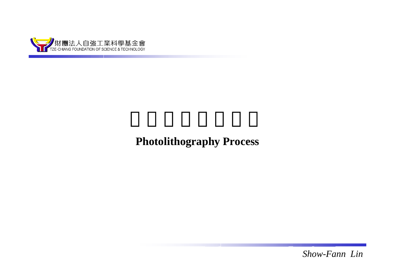

#### **Photolithography Process**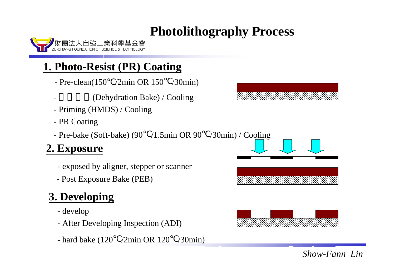## **Photolithography Process**

#### **1. Photo-Resist (PR) Coating**

- Pre-clean(150 /2min OR 150 /30min)
	- (Dehydration Bake) / Cooling
- Priming (HMDS) / Cooling

財團法人自強工業科學基金會

- PR Coating

-

- Pre-bake (Soft-bake) (90 /1.5min OR 90 /30min) / Cooling

#### **2. Exposure**

- exposed by aligner, stepper or scanner
- Post Exposure Bake (PEB)

#### **3. Developing**

- develop
- After Developing Inspection (ADI)
- hard bake (120 /2min OR 120 /30min)





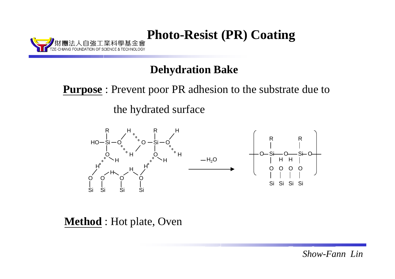

**Photo-Resist (PR) Coating**

### **Dehydration Bake**

**Purpose** : Prevent poor PR adhesion to the substrate due to

the hydrated surface



**Method** : Hot plate, Oven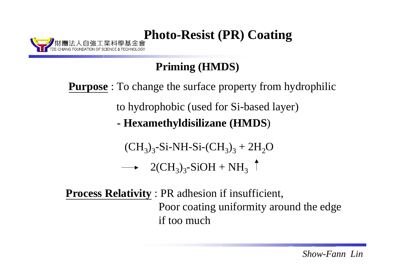

**Photo-Resist (PR) Coating**

### **Priming (HMDS)**

**Purpose** : To change the surface property from hydrophilic

to hydrophobic (used for Si-based layer)

**- Hexamethyldisilizane (HMDS**)

 $(CH_3)_3$ -Si-NH-Si- $(CH_3)_3 + 2H_2O$ 

$$
\rightarrow 2(CH_3)_3-SiOH + NH_3
$$

**Process Relativity** : PR adhesion if insufficient, Poor coating uniformity around the edge if too much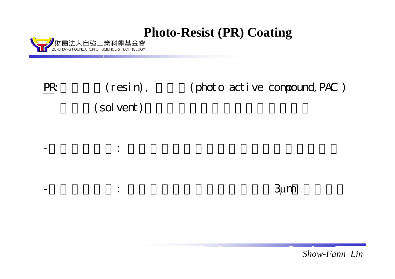# **Photo-Resist (PR) Coating**<br><sub>財團法人自強工業科學基金會</sub>

## PR: (resin), (photo active compound, PAC ) (solvent)

-正光阻的特性: 照光之後可溶於顯影劑用於高解析度的製程

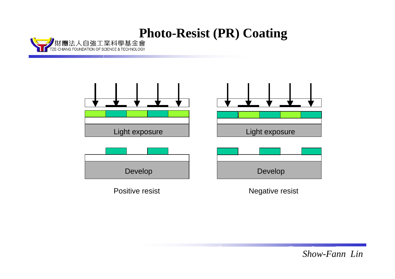# **Photo-Resist (PR) Coating**<br><sub>財團法人自強工業科學基金會</sub>



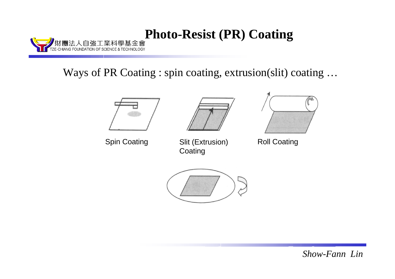# **Photo-Resist (PR) Coating**

Ways of PR Coating : spin coating, extrusion(slit) coating …



& TECHNOLOGY



Spin Coating Slit (Extrusion) **Coating** 



Roll Coating

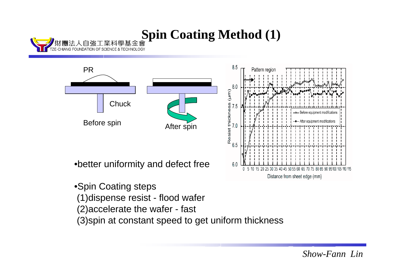## $\sum_{\mathcal{T}\; \stackrel{\text{\tiny{*}}{\scriptstyle{*}}}{\scriptstyle{*}}\; \widehat{\scriptstyle{*}}\; \widehat{\scriptstyle{*}}} \mathbf{Spin}$  Coating Method  $(1)$



**SCIENCE & TECHNOLOGY** 

財團法



- •better uniformity and defect free
- •Spin Coating steps (1)dispense resist - flood wafer (2)accelerate the wafer - fast (3)spin at constant speed to get uniform thickness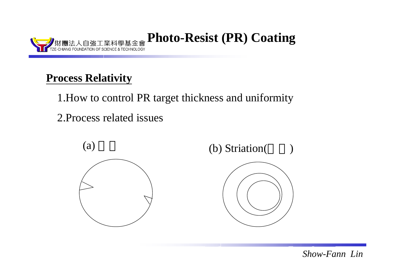

#### **Process Relativity**

1.How to control PR target thickness and uniformity 2.Process related issues

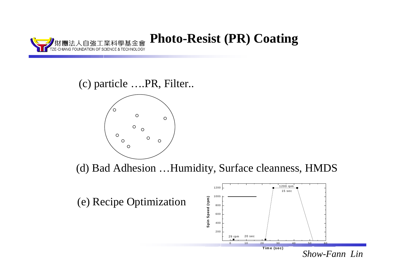

**Photo-Resist (PR) Coating**

(c) particle ….PR, Filter..



(d) Bad Adhesion …Humidity, Surface cleanness, HMDS

(e) Recipe Optimization

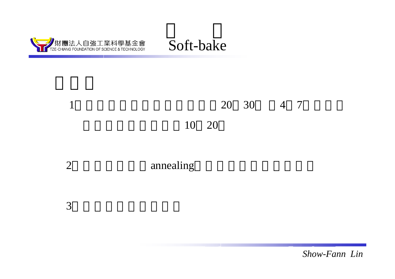

Soft-bake

# 20 30 4 7 10 20

#### annealing

3

2

1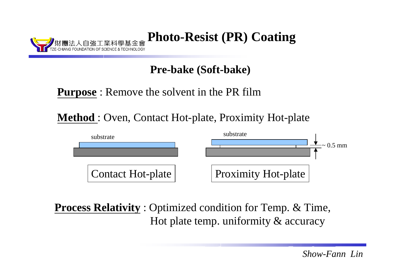

**Photo-Resist (PR) Coating**

#### **Pre-bake (Soft-bake)**

#### **Purpose** : Remove the solvent in the PR film

**Method** : Oven, Contact Hot-plate, Proximity Hot-plate



**Process Relativity** : Optimized condition for Temp. & Time, Hot plate temp. uniformity & accuracy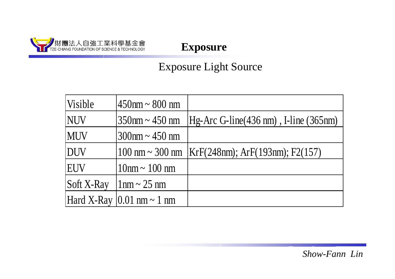

#### **Exposure**

#### Exposure Light Source

| Visible    | $ 450$ nm ~ 800 nm                   |                                                                         |
|------------|--------------------------------------|-------------------------------------------------------------------------|
| <b>NUV</b> | $350$ nm ~ 450 nm                    | $Hg-Arc$ G-line $(436 \text{ nm})$ , I-line $(365 \text{ nm})$          |
| MUV        | $300$ nm ~ 450 nm                    |                                                                         |
| DUV        | $100 \text{ nm} \sim 300 \text{ nm}$ | $\text{KrF}(248 \text{nm})$ ; Ar $\text{F}(193 \text{nm})$ ; F2 $(157)$ |
| EUV        | $10$ nm ~ $100$ nm                   |                                                                         |
| Soft X-Ray | $1 \text{nm} \sim 25 \text{nm}$      |                                                                         |
|            | $Hard X-Ray   0.01$ nm ~ 1 nm        |                                                                         |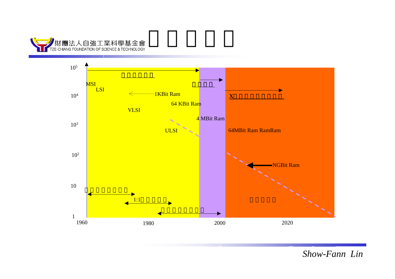

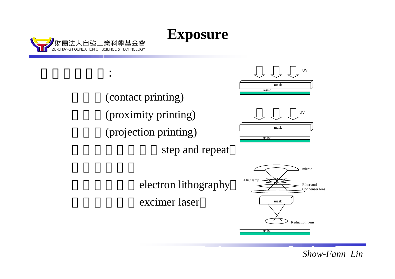

曝光的種類有:

(contact printing) (proximity printing) (projection printing) step and repeat maskresist maskresist

**Exposure**

electron lithography excimer laser



UV

UV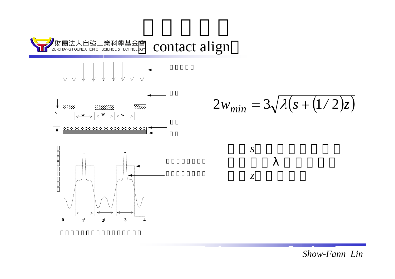

contact align





 $2w_{min} = 3\sqrt{\lambda(s + (1/2)z)}$ 

 $\overline{S}$ 

 $\zeta$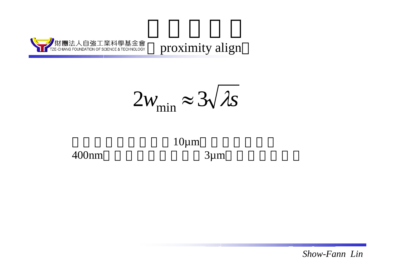

proximity align

 $2w_{\min} \approx 3\sqrt{\lambda s}$ 

 $10 \mu m$  $3 \mu m$ 

400nm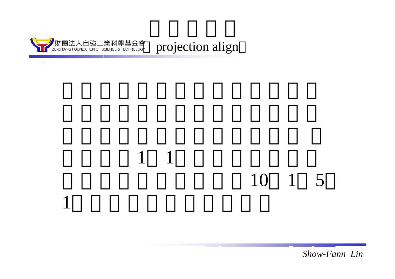

 $1 \quad 1$ 

# 10 1 5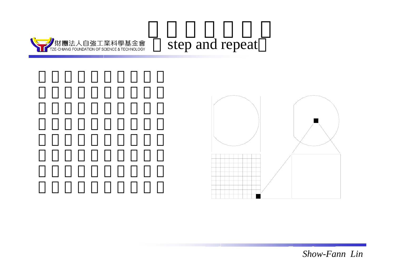

step and repeat

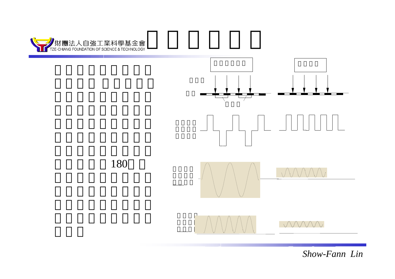

180

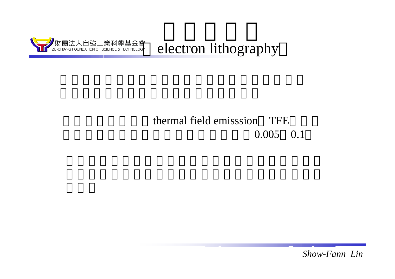

## electron lithography

#### thermal field emisssion TFE  $0.005$  0.1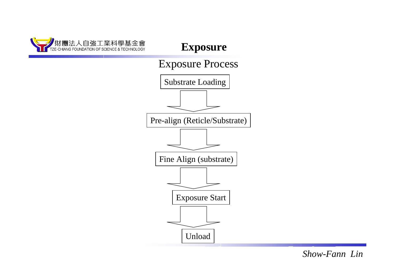

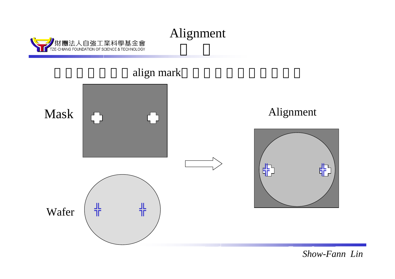



Alignment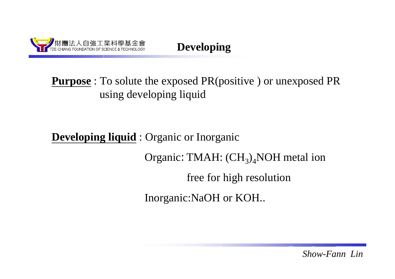

**Developing** 

**Purpose** : To solute the exposed PR(positive ) or unexposed PR using developing liquid

**Developing liquid** : Organic or Inorganic

Organic: TMAH:  $(CH_3)_4$ NOH metal ion

free for high resolution

Inorganic:NaOH or KOH..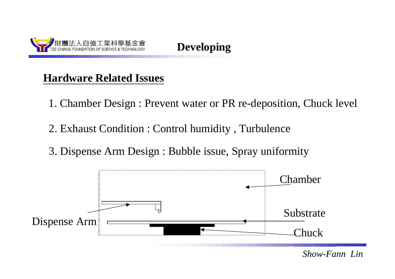



#### **Hardware Related Issues**

- 1. Chamber Design : Prevent water or PR re-deposition, Chuck level
- 2. Exhaust Condition : Control humidity , Turbulence
- 3. Dispense Arm Design : Bubble issue, Spray uniformity

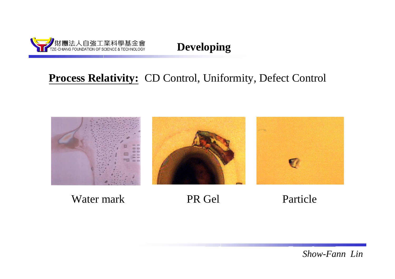

**Developing** 

#### **Process Relativity:** CD Control, Uniformity, Defect Control



Water mark **PR Gel Particle**